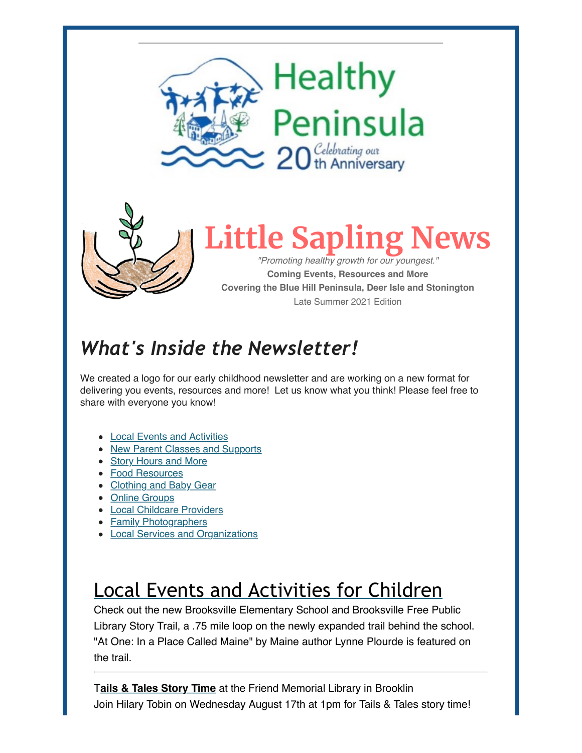



**Little Sapling News** *"Promoting healthy growth for our youngest."*

**Coming Events, Resources and More Covering the Blue Hill Peninsula, Deer Isle and Stonington** Late Summer 2021 Edition

# *What's Inside the Newsletter!*

We created a logo for our early childhood newsletter and are working on a new format for delivering you events, resources and more! Let us know what you think! Please feel free to share with everyone you know!

- [Local Events and Activities](https://us12.admin.mailchimp.com/campaigns/preview-content-html?id=8737457#Local%20Events)
- [New Parent Classes and Supports](https://us12.admin.mailchimp.com/campaigns/preview-content-html?id=8737457#New%20Parent%20Classes%20and%20Supports)
- [Story Hours and More](https://us12.admin.mailchimp.com/campaigns/preview-content-html?id=8737457#Story%20Hours)
- [Food Resources](https://us12.admin.mailchimp.com/campaigns/preview-content-html?id=8737457#Food%20Resources)
- [Clothing and Baby Gear](https://us12.admin.mailchimp.com/campaigns/preview-content-html?id=8737457#Clothes%20and%20Gear)
- [Online Groups](https://us12.admin.mailchimp.com/campaigns/preview-content-html?id=8737457#Online%20Groups)
- [Local Childcare Providers](#page-7-0)
- [Family Photographers](#page-9-0)
- [Local Services and Organizations](#page-10-0)

# Local Events and Activities for Children

Check out the new Brooksville Elementary School and Brooksville Free Public Library Story Trail, a .75 mile loop on the newly expanded trail behind the school. "At One: In a Place Called Maine" by Maine author Lynne Plourde is featured on the trail.

[T](https://www.facebook.com/friendmpl.brooklin)**[ails & Tales Story Time](https://www.facebook.com/friendmpl.brooklin)** at the Friend Memorial Library in Brooklin Join Hilary Tobin on Wednesday August 17th at 1pm for Tails & Tales story time!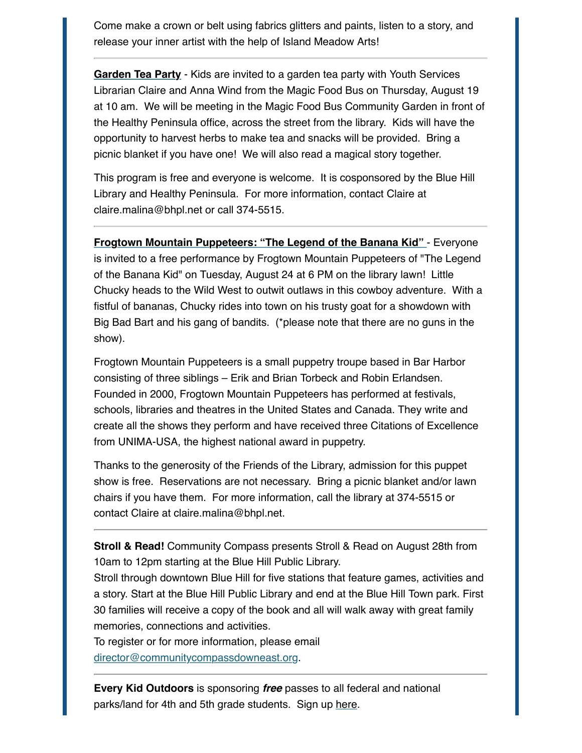Come make a crown or belt using fabrics glitters and paints, listen to a story, and release your inner artist with the help of Island Meadow Arts!

**[Garden Tea Party](https://www.bhpl.net/events/garden-tea-party/)** - Kids are invited to a garden tea party with Youth Services Librarian Claire and Anna Wind from the Magic Food Bus on Thursday, August 19 at 10 am. We will be meeting in the Magic Food Bus Community Garden in front of the Healthy Peninsula office, across the street from the library. Kids will have the opportunity to harvest herbs to make tea and snacks will be provided. Bring a picnic blanket if you have one! We will also read a magical story together.

This program is free and everyone is welcome. It is cosponsored by the Blue Hill Library and Healthy Peninsula. For more information, contact Claire at claire.malina@bhpl.net or call 374-5515.

**[Frogtown Mountain Puppeteers: "The Legend of the Banana Kid"](https://www.bhpl.net/events/frogtown-mountain-puppeteers-the-legend-of-the-banana-kid/)** - Everyone is invited to a free performance by Frogtown Mountain Puppeteers of "The Legend of the Banana Kid" on Tuesday, August 24 at 6 PM on the library lawn! Little Chucky heads to the Wild West to outwit outlaws in this cowboy adventure. With a fistful of bananas, Chucky rides into town on his trusty goat for a showdown with Big Bad Bart and his gang of bandits. (\*please note that there are no guns in the show).

Frogtown Mountain Puppeteers is a small puppetry troupe based in Bar Harbor consisting of three siblings – Erik and Brian Torbeck and Robin Erlandsen. Founded in 2000, Frogtown Mountain Puppeteers has performed at festivals, schools, libraries and theatres in the United States and Canada. They write and create all the shows they perform and have received three Citations of Excellence from UNIMA-USA, the highest national award in puppetry.

Thanks to the generosity of the Friends of the Library, admission for this puppet show is free. Reservations are not necessary. Bring a picnic blanket and/or lawn chairs if you have them. For more information, call the library at 374-5515 or contact Claire at claire.malina@bhpl.net.

**Stroll & Read!** Community Compass presents Stroll & Read on August 28th from 10am to 12pm starting at the Blue Hill Public Library.

Stroll through downtown Blue Hill for five stations that feature games, activities and a story. Start at the Blue Hill Public Library and end at the Blue Hill Town park. First 30 families will receive a copy of the book and all will walk away with great family memories, connections and activities.

To register or for more information, please email [director@communitycompassdowneast.org.](mailto:director@communitycompassdowneast.org?subject=Stroll%20and%20Read)

**Every Kid Outdoors** is sponsoring *free* passes to all federal and national parks/land for 4th and 5th grade students. Sign up [here.](https://www.nps.gov/kids/every-kid-outdoors.htm)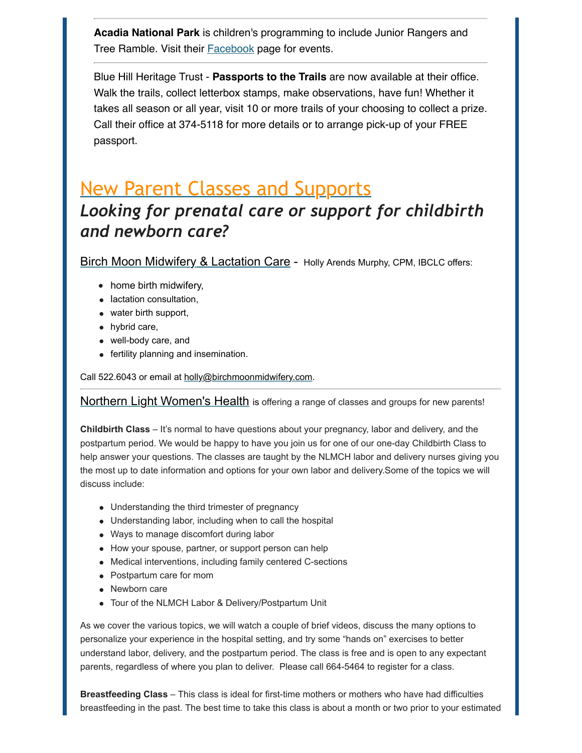**Acadia National Park** is children's programming to include Junior Rangers and Tree Ramble. Visit their [Facebook](https://www.facebook.com/events/2895053680763773?acontext=%7B%22event_action_history%22%3A%5B%7B%22extra_data%22%3A%22%22%2C%22mechanism%22%3A%22unknown%22%2C%22surface%22%3A%22page%22%7D%2C%7B%22extra_data%22%3A%22%22%2C%22mechanism%22%3A%22surface%22%2C%22surface%22%3A%22permalink%22%7D%2C%7B%22extra_data%22%3A%22%22%2C%22mechanism%22%3A%22surface%22%2C%22surface%22%3A%22permalink%22%7D%5D%2C%22ref_notif_type%22%3Anull%7D) page for events.

Blue Hill Heritage Trust - **Passports to the Trails** are now available at their office. Walk the trails, collect letterbox stamps, make observations, have fun! Whether it takes all season or all year, visit 10 or more trails of your choosing to collect a prize. Call their office at 374-5118 for more details or to arrange pick-up of your FREE passport.

## New Parent Classes and Supports

## *Looking for prenatal care or support for childbirth and newborn care?*

[Birch Moon Midwifery & Lactation Care](https://birchmoonmidwifery.com/) - Holly Arends Murphy, CPM, IBCLC offers:

- home birth midwifery,
- lactation consultation,
- water birth support,
- hybrid care,
- well-body care, and
- fertility planning and insemination.

Call 522.6043 or email at [holly@birchmoonmidwifery.com.](mailto:holly@birchmoonmidwifery.com)

[Northern Light Women's Health](https://northernlighthealth.org/Our-System/Maine-Coast-Hospital/Care-Centers-Services/Womens-Health/Birthing) is offering a range of classes and groups for new parents!

**Childbirth Class** – It's normal to have questions about your pregnancy, labor and delivery, and the postpartum period. We would be happy to have you join us for one of our one-day Childbirth Class to help answer your questions. The classes are taught by the NLMCH labor and delivery nurses giving you the most up to date information and options for your own labor and delivery.Some of the topics we will discuss include:

- Understanding the third trimester of pregnancy
- Understanding labor, including when to call the hospital
- Ways to manage discomfort during labor
- How your spouse, partner, or support person can help
- Medical interventions, including family centered C-sections
- Postpartum care for mom
- Newborn care
- Tour of the NLMCH Labor & Delivery/Postpartum Unit

As we cover the various topics, we will watch a couple of brief videos, discuss the many options to personalize your experience in the hospital setting, and try some "hands on" exercises to better understand labor, delivery, and the postpartum period. The class is free and is open to any expectant parents, regardless of where you plan to deliver. Please call 664-5464 to register for a class.

**Breastfeeding Class** – This class is ideal for first-time mothers or mothers who have had difficulties breastfeeding in the past. The best time to take this class is about a month or two prior to your estimated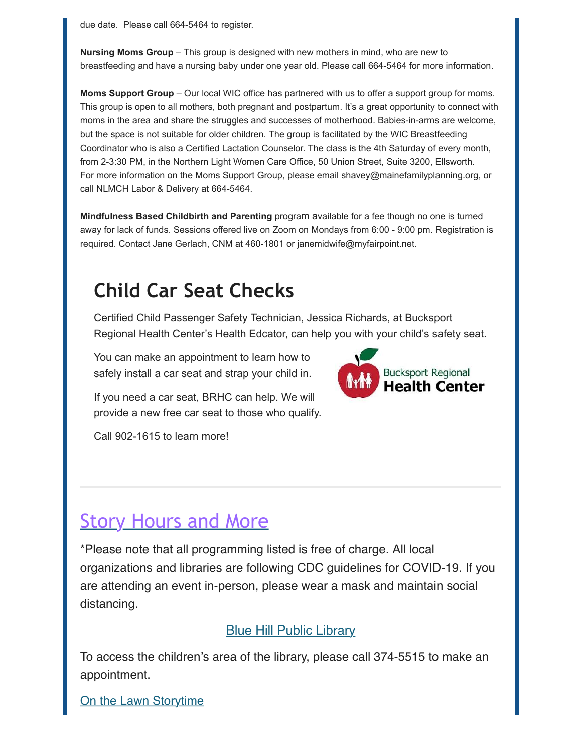due date. Please call 664-5464 to register.

**Nursing Moms Group** – This group is designed with new mothers in mind, who are new to breastfeeding and have a nursing baby under one year old. Please call 664-5464 for more information.

**Moms Support Group** – Our local WIC office has partnered with us to offer a support group for moms. This group is open to all mothers, both pregnant and postpartum. It's a great opportunity to connect with moms in the area and share the struggles and successes of motherhood. Babies-in-arms are welcome, but the space is not suitable for older children. The group is facilitated by the WIC Breastfeeding Coordinator who is also a Certified Lactation Counselor. The class is the 4th Saturday of every month, from 2-3:30 PM, in the Northern Light Women Care Office, 50 Union Street, Suite 3200, Ellsworth. For more information on the Moms Support Group, please email shavey@mainefamilyplanning.org, or call NLMCH Labor & Delivery at 664-5464.

**Mindfulness Based Childbirth and Parenting** program available for a fee though no one is turned away for lack of funds. Sessions offered live on Zoom on Mondays from 6:00 - 9:00 pm. Registration is required. Contact Jane Gerlach, CNM at 460-1801 or janemidwife@myfairpoint.net.

## **Child Car Seat Checks**

Certified Child Passenger Safety Technician, Jessica Richards, at Bucksport Regional Health Center's Health Edcator, can help you with your child's safety seat.

You can make an appointment to learn how to safely install a car seat and strap your child in.

If you need a car seat, BRHC can help. We will provide a new free car seat to those who qualify.

Call 902-1615 to learn more!

## **Story Hours and More**

\*Please note that all programming listed is free of charge. All local organizations and libraries are following CDC guidelines for COVID-19. If you are attending an event in-person, please wear a mask and maintain social distancing.

## [Blue Hill Public Library](https://www.bhpl.net/)

To access the children's area of the library, please call 374-5515 to make an appointment.

[On the Lawn Storytime](https://www.bhpl.net/events/on-the-lawn-storytime/)

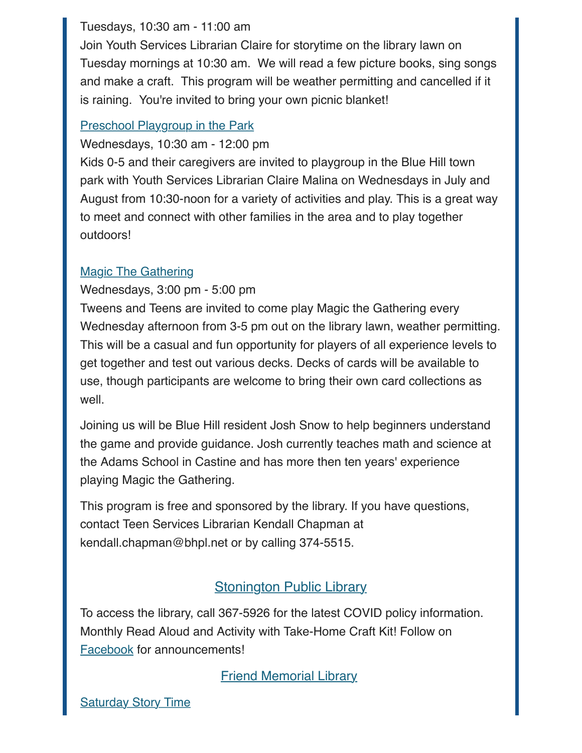## Tuesdays, 10:30 am - 11:00 am

Join Youth Services Librarian Claire for storytime on the library lawn on Tuesday mornings at 10:30 am. We will read a few picture books, sing songs and make a craft. This program will be weather permitting and cancelled if it is raining. You're invited to bring your own picnic blanket!

## [Preschool Playgroup in the Park](https://www.bhpl.net/events/preschool-playgroup-in-the-park-2/)

Wednesdays, 10:30 am - 12:00 pm

Kids 0-5 and their caregivers are invited to playgroup in the Blue Hill town park with Youth Services Librarian Claire Malina on Wednesdays in July and August from 10:30-noon for a variety of activities and play. This is a great way to meet and connect with other families in the area and to play together outdoors!

## [Magic The Gathering](https://www.bhpl.net/events/magic-the-gathering-for-teens-and-tweens-5/)

Wednesdays, 3:00 pm - 5:00 pm

Tweens and Teens are invited to come play Magic the Gathering every Wednesday afternoon from 3-5 pm out on the library lawn, weather permitting. This will be a casual and fun opportunity for players of all experience levels to get together and test out various decks. Decks of cards will be available to use, though participants are welcome to bring their own card collections as well.

Joining us will be Blue Hill resident Josh Snow to help beginners understand the game and provide guidance. Josh currently teaches math and science at the Adams School in Castine and has more then ten years' experience playing Magic the Gathering.

This program is free and sponsored by the library. If you have questions, contact Teen Services Librarian Kendall Chapman at kendall.chapman@bhpl.net or by calling 374-5515.

## **[Stonington Public Library](https://www.stoningtonlibrary.org/)**

To access the library, call 367-5926 for the latest COVID policy information. Monthly Read Aloud and Activity with Take-Home Craft Kit! Follow on [Facebook](https://www.facebook.com/StoningtonPublicLibrary/%C2%A0) for announcements!

[Friend Memorial Library](https://friendml.org/)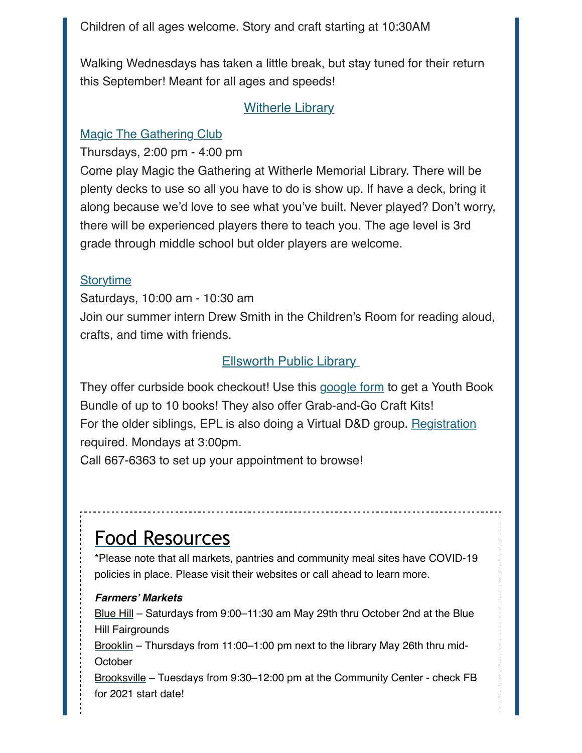Children of all ages welcome. Story and craft starting at 10:30AM

Walking Wednesdays has taken a little break, but stay tuned for their return this September! Meant for all ages and speeds!

## **[Witherle Library](http://witherle.lib.me.us/)**

## **[Magic The Gathering Club](https://witherle.lib.me.us/events/magic-the-gathering-club-2021-08-12/)**

Thursdays, 2:00 pm - 4:00 pm

Come play Magic the Gathering at Witherle Memorial Library. There will be plenty decks to use so all you have to do is show up. If have a deck, bring it along because we'd love to see what you've built. Never played? Don't worry, there will be experienced players there to teach you. The age level is 3rd grade through middle school but older players are welcome.

## **[Storytime](https://witherle.lib.me.us/events/storytime-2021-08-14/)**

Saturdays, 10:00 am - 10:30 am Join our summer intern Drew Smith in the Children's Room for reading aloud, crafts, and time with friends.

## **[Ellsworth Public](http://www.ellsworth.lib.me.us/youth-services/) [Library](http://witherle.lib.me.us/)**

They offer curbside book checkout! Use this [google form](https://docs.google.com/forms/d/1sO9o2AkNHwvLUrngdD4jzLxPIiQuPoKw2Xd-2WeCLIQ/viewform?edit_requested=true) to get a Youth Book Bundle of up to 10 books! They also offer Grab-and-Go Craft Kits! For the older siblings, EPL is also doing a Virtual D&D group. [Registration](https://networkmaine.zoom.us/meeting/register/tZcsdOyuqzIvHtahQUvSiJX8WO7wtIbWHKO6?fbclid=IwAR1P1yvjkkURl9E8QGwNdhsb9s7vakN507VuWiAqc2mXmvjvpQ7V2zQZdqw) required. Mondays at 3:00pm.

Call 667-6363 to set up your appointment to browse!

# Food Resources

\*Please note that all markets, pantries and community meal sites have COVID-19 policies in place. Please visit their websites or call ahead to learn more.

### *Farmers' Markets*

[Blue Hill](https://www.bluehillfarmersmarket.com/?fbclid=IwAR0QUavNw3aDCsKJnY5yca8DjffX6kijc5Ku7ZhmqvkEcaxxCdiY2pdiJFA) – Saturdays from 9:00–11:30 am May 29th thru October 2nd at the Blue Hill Fairgrounds

[Brooklin](https://www.facebook.com/Brooklin-Farmers-Market-1686328718297388/) – Thursdays from 11:00–1:00 pm next to the library May 26th thru mid-**October** 

[Brooksville](https://www.facebook.com/BrooksvilleMaineFarmersMarket/) – Tuesdays from 9:30–12:00 pm at the Community Center - check FB for 2021 start date!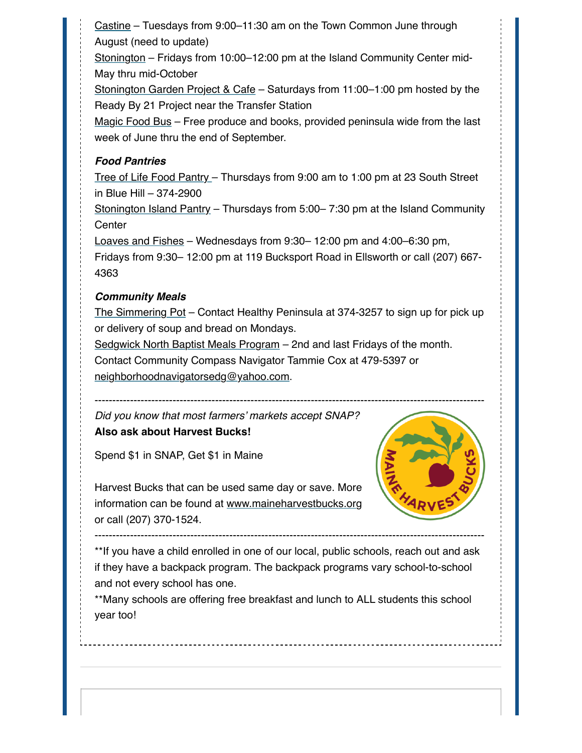[Castine](https://www.facebook.com/Castine-Farmers-Market-115960368436636/) – Tuesdays from 9:00–11:30 am on the Town Common June through August (need to update)

[Stonington](https://www.facebook.com/StoningtonFarmersMarket/) – Fridays from 10:00–12:00 pm at the Island Community Center mid-May thru mid-October

[Stonington Garden Project & Cafe](https://www.facebook.com/readyby21mentoring) – Saturdays from 11:00–1:00 pm hosted by the Ready By 21 Project near the Transfer Station

[Magic Food Bus](https://healthypeninsula.org/initiatives/eating/magic-food-bus-rolls-for-its-sixth-season/) – Free produce and books, provided peninsula wide from the last week of June thru the end of September.

### *Food Pantries*

[Tree of Life Food Pantry](https://www.treeoflifepantry.org/) – Thursdays from 9:00 am to 1:00 pm at 23 South Street in Blue Hill – 374-2900

[Stonington Island Pantry](https://www.islandcommunitycenter.net/programs) – Thursdays from 5:00– 7:30 pm at the Island Community **Center** 

[Loaves and Fishes](https://www.facebook.com/LoavesandFishespantry/) – Wednesdays from 9:30– 12:00 pm and 4:00–6:30 pm,

Fridays from 9:30– 12:00 pm at 119 Bucksport Road in Ellsworth or call (207) 667- 4363

#### *Community Meals*

[The Simmering Pot](https://healthypeninsula.org/initiatives/eating/community-meals/) – Contact Healthy Peninsula at 374-3257 to sign up for pick up or delivery of soup and bread on Mondays.

[Sedgwick North Baptist Meals Program](https://m.facebook.com/groups/ccnavigatorsedgwick/?ref=group_header&view=group) – 2nd and last Fridays of the month.

Contact Community Compass Navigator Tammie Cox at 479-5397 or

[neighborhoodnavigatorsedg@yahoo.com.](mailto:neighborhoodnavigatorsedg@yahoo.com?subject=Meals%20Program)

--------------------------------------------------------------------------------------------------------------

*Did you know that most farmers' markets accept SNAP?* **Also ask about Harvest Bucks!**

Spend \$1 in SNAP, Get \$1 in Maine



Harvest Bucks that can be used same day or save. More information can be found at [www.maineharvestbucks.org](http://www.maineharvestbucks.org/) or call (207) 370-1524.

\*\*If you have a child enrolled in one of our local, public schools, reach out and ask if they have a backpack program. The backpack programs vary school-to-school and not every school has one.

--------------------------------------------------------------------------------------------------------------

\*\*Many schools are offering free breakfast and lunch to ALL students this school year too!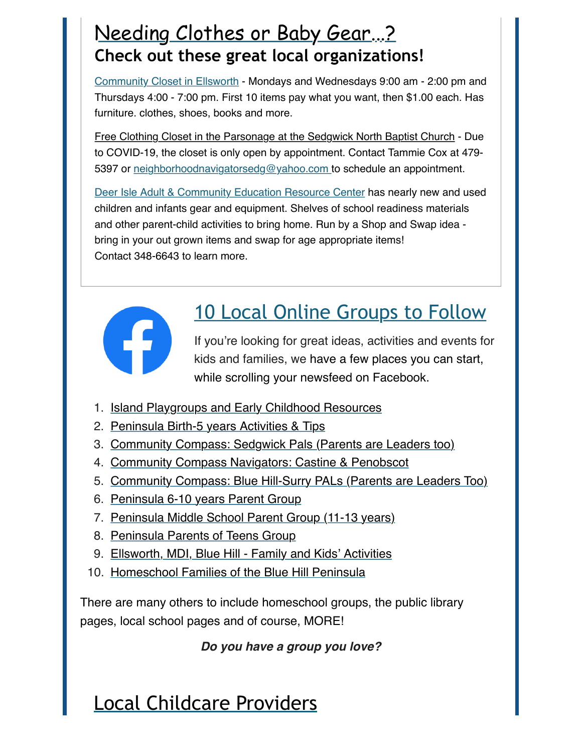# Needing Clothes or Baby Gear...? **Check out these great local organizations!**

[Community Closet in Ellsworth](https://www.facebook.com/communityclosetellsworth) - Mondays and Wednesdays 9:00 am - 2:00 pm and Thursdays 4:00 - 7:00 pm. First 10 items pay what you want, then \$1.00 each. Has furniture. clothes, shoes, books and more.

Free Clothing Closet in the Parsonage at the Sedgwick North Baptist Church - Due to COVID-19, the closet is only open by appointment. Contact Tammie Cox at 479 5397 or [neighborhoodnavigatorsedg@yahoo.com t](mailto:neighborhoodnavigatorsedg@yahoo.com?subject=Clothing%20Closet)o schedule an appointment.

[Deer Isle Adult & Community Education Resource Center](https://www.facebook.com/DIAdultEducation/) has nearly new and used children and infants gear and equipment. Shelves of school readiness materials and other parent-child activities to bring home. Run by a Shop and Swap idea bring in your out grown items and swap for age appropriate items! Contact 348-6643 to learn more.



# 10 Local Online Groups to Follow

If you're looking for great ideas, activities and events for kids and families, we have a few places you can start, while scrolling your newsfeed on Facebook.

- 1. [Island Playgroups and Early Childhood Resources](https://www.facebook.com/groups/764351233752193)
- 2. [Peninsula Birth-5 years Activities & Tips](https://www.facebook.com/groups/1679486905674020)
- 3. [Community Compass: Sedgwick Pals \(Parents are Leaders too\)](https://www.facebook.com/groups/287502609071698)
- 4. [Community Compass Navigators: Castine & Penobscot](https://www.facebook.com/groups/ccnavigatorcastineandpenobscot)
- 5. [Community Compass: Blue Hill-Surry PALs \(Parents are Leaders Too\)](https://www.facebook.com/groups/bluehillsurrypals)
- 6. [Peninsula 6-10 years Parent Group](https://www.facebook.com/groups/587619998503969)
- 7. [Peninsula Middle School Parent Group \(11-13 years\)](https://www.facebook.com/groups/221387125608304)
- 8. [Peninsula Parents of Teens Group](https://www.facebook.com/groups/591555428098824)
- 9. [Ellsworth, MDI, Blue Hill Family and Kids' Activities](https://www.facebook.com/groups/1411447465772796)
- 10. [Homeschool Families of the Blue Hill Peninsula](https://www.facebook.com/groups/737141470455283)

There are many others to include homeschool groups, the public library pages, local school pages and of course, MORE!

## *Do you have a group you love?*

# <span id="page-7-0"></span>Local Childcare Providers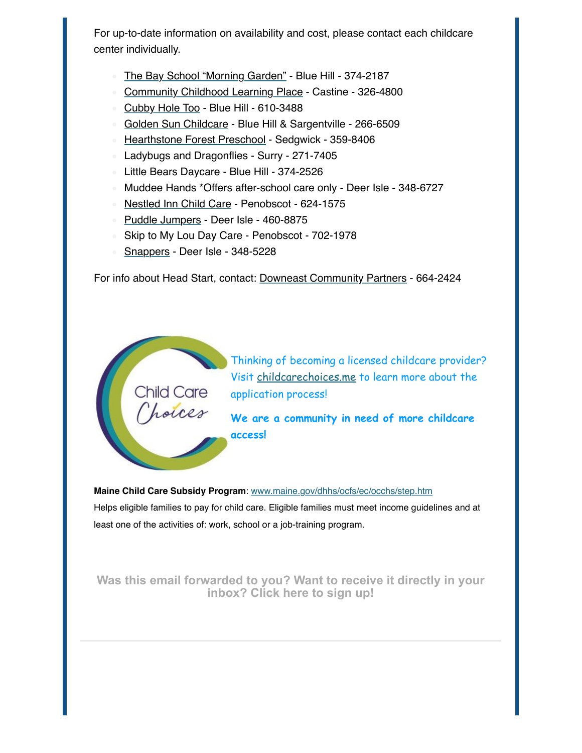For up-to-date information on availability and cost, please contact each childcare center individually.

- [The Bay School "Morning Garden"](https://bayschool.org/) Blue Hill 374-2187
- [Community Childhood Learning Place](https://www.communitychildhoodlearningplace.org/)  Castine 326-4800
- [Cubby Hole Too](https://www.facebook.com/thecubbyholetoo/) Blue Hill 610-3488
- [Golden Sun Childcare](https://www.facebook.com/goldensunchildcarebluehill/?ref=py_c) Blue Hill & Sargentville 266-6509
- [Hearthstone Forest Preschool](https://www.facebook.com/hstonepsandearlychildhood)  Sedgwick 359-8406
- Ladybugs and Dragonflies Surry 271-7405
- Little Bears Daycare Blue Hill 374-2526
- Muddee Hands \*Offers after-school care only Deer Isle 348-6727
- [Nestled Inn Child Care](https://www.facebook.com/NestledInn26) Penobscot 624-1575
- [Puddle Jumpers](https://www.facebook.com/Puddle-Jumpers-1999537533486124)  Deer Isle 460-8875
- Skip to My Lou Day Care Penobscot 702-1978
- [Snappers](https://www.facebook.com/Snappers-Childcare-Center-107154568010873/)  Deer Isle 348-5228

For info about Head Start, contact: [Downeast Community Partners](https://www.downeastcommunitypartners.org/services/children-and-education/info.php/Early-Care-and-Education-Programs-2/) - 664-2424



Thinking of becoming a licensed childcare provider? Visit [childcarechoices.me](http://childcarechoices.me/) to learn more about the application process!

**We are a community in need of more childcare access!**

**Maine Child Care Subsidy Program**: [www.maine.gov/dhhs/ocfs/ec/occhs/step.htm](http://www.maine.gov/dhhs/ocfs/ec/occhs/step.htm) Helps eligible families to pay for child care. Eligible families must meet income guidelines and at least one of the activities of: work, school or a job-training program.

**[Was this email forwarded to you? Want to receive it directly in your](https://healthypeninsula.us12.list-manage.com/subscribe?u=fc6079fc5c5e625f35525d930&id=f7952ea950) inbox? Click here to sign up!**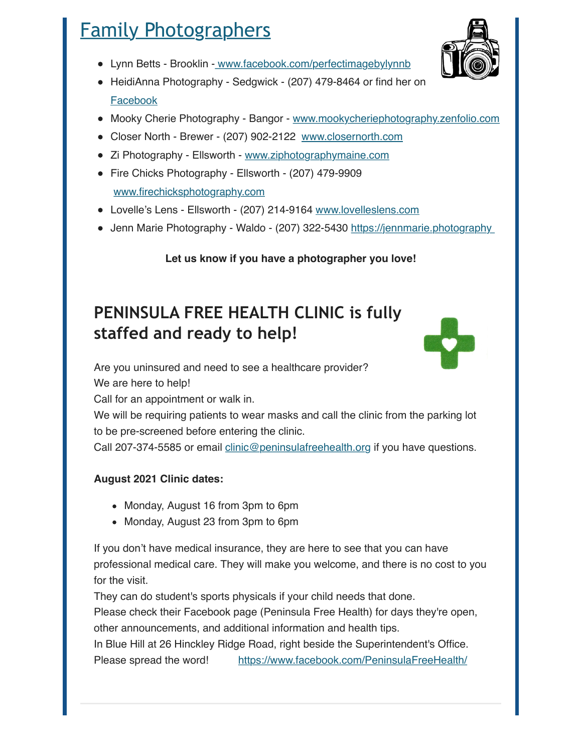# <span id="page-9-0"></span>Family Photographers

- Lynn Betts Brooklin  [www.facebook.com/perfectimagebylynnb](http://www.facebook.com/perfectimagebylynnb)
- HeidiAnna Photography Sedgwick (207) 479-8464 or find her on [Facebook](https://www.facebook.com/heidiannaphotography)
- Mooky Cherie Photography Bangor - [www.mookycheriephotography.zenfolio.com](http://www.mookycheriephotography.zenfolio.com/)
- Closer North Brewer (207) 902-2122 [www.closernorth.com](http://www.closernorth.com/)
- Zi Photography Ellsworth [www.ziphotographymaine.com](http://www.ziphotographymaine.com/)
- Fire Chicks Photography Ellsworth (207) 479-9909 [www.firechicksphotography.com](http://www.firechicksphotography.com/)
- Lovelle's Lens Ellsworth (207) 214-9164 [www.lovelleslens.com](http://www.lovelleslens.com/)
- Jenn Marie Photography Waldo (207) 322-5430 https://jennmarie.photography

**Let us know if you have a photographer you love!**

## **PENINSULA FREE HEALTH CLINIC is fully staffed and ready to help!**

Are you uninsured and need to see a healthcare provider?

We are here to help!

Call for an appointment or walk in.

We will be requiring patients to wear masks and call the clinic from the parking lot to be pre-screened before entering the clinic.

Call 207-374-5585 or email [clinic@peninsulafreehealth.org](mailto:clinic@peninsulafreehealth.org?subject=Appointment) if you have questions.

## **August 2021 Clinic dates:**

- Monday, August 16 from 3pm to 6pm
- Monday, August 23 from 3pm to 6pm

If you don't have medical insurance, they are here to see that you can have professional medical care. They will make you welcome, and there is no cost to you for the visit.

They can do student's sports physicals if your child needs that done.

Please check their Facebook page (Peninsula Free Health) for days they're open, other announcements, and additional information and health tips.

In Blue Hill at 26 Hinckley Ridge Road, right beside the Superintendent's Office. Please spread the word! [https://www.facebook.com/PeninsulaFreeHealth/](https://www.facebook.com/PeninsulaFreeHealth/?__cft__%5B0%5D=AZWjITGeyFvnlncgk-5-p8dnXw-v1vbwL-g2bQI2zMmK68gwWLnTZbAXm6AnA7EeNIuyuVNr7EYlJ53oFkevub_d2_pqbe4024wB2p2-Ci3xcKqgPUI9LgrZ04Cgmu66mdnTujguF0XgLnkX87-3PJtc5lM22E4W9UGlHPsJXw-lUyN4Xo77-suozDD1LOggy4Q&__tn__=-UK-R)



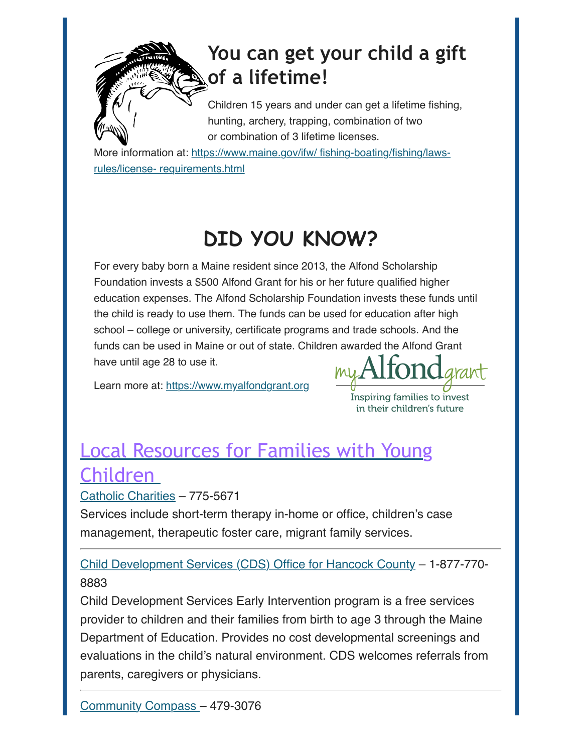# **You can get your child a gift of a lifetime!**

Children 15 years and under can get a lifetime fishing, hunting, archery, trapping, combination of two or combination of 3 lifetime licenses.

ore information at: https://www.maine.gov/ifw/ fishing-boating/fishing/lawsrules/license- requirements.html

# **DID YOU KNOW?**

For every baby born a Maine resident since 2013, the Alfond Scholarship Foundation invests a \$500 Alfond Grant for his or her future qualified higher education expenses. The Alfond Scholarship Foundation invests these funds until the child is ready to use them. The funds can be used for education after high school – college or university, certificate programs and trade schools. And the funds can be used in Maine or out of state. Children awarded the Alfond Grant have until age 28 to use it.

Learn more at: [https://www.myalfondgrant.org](https://www.myalfondgrant.org/)

Inspiring families to invest in their children's future

# <span id="page-10-0"></span>Local Resources for Families with Young Children

[Catholic Charities](https://www.ccmaine.org/) – 775-5671

Services include short-term therapy in-home or office, children's case management, therapeutic foster care, migrant family services.

[Child Development Services \(CDS\) Office for Hancock County](https://www.maine.gov/doe/learning/cds) – 1-877-770- 8883

Child Development Services Early Intervention program is a free services provider to children and their families from birth to age 3 through the Maine Department of Education. Provides no cost developmental screenings and evaluations in the child's natural environment. CDS welcomes referrals from parents, caregivers or physicians.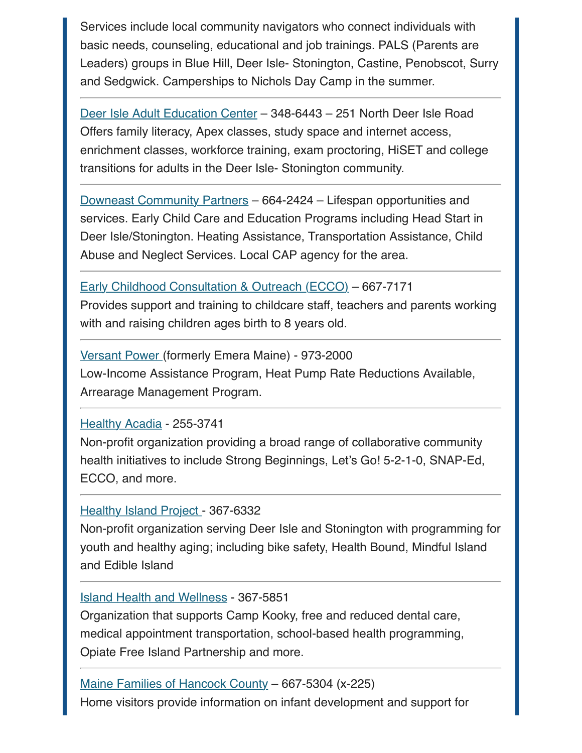Services include local community navigators who connect individuals with basic needs, counseling, educational and job trainings. PALS (Parents are Leaders) groups in Blue Hill, Deer Isle- Stonington, Castine, Penobscot, Surry and Sedgwick. Camperships to Nichols Day Camp in the summer.

[Deer Isle Adult Education Center](https://deerisle.maineadulted.org/) – 348-6443 – 251 North Deer Isle Road Offers family literacy, Apex classes, study space and internet access, enrichment classes, workforce training, exam proctoring, HiSET and college transitions for adults in the Deer Isle- Stonington community.

[Downeast Community Partners](https://www.downeastcommunitypartners.org/) – 664-2424 – Lifespan opportunities and services. Early Child Care and Education Programs including Head Start in Deer Isle/Stonington. Heating Assistance, Transportation Assistance, Child Abuse and Neglect Services. Local CAP agency for the area.

## [Early Childhood Consultation & Outreach \(ECCO\)](https://www.healthyacadia.org/sb-ecco) – 667-7171

Provides support and training to childcare staff, teachers and parents working with and raising children ages birth to 8 years old.

[Versant Power](https://www.versantpower.com/residential/programs-and-services/) (formerly Emera Maine) - 973-2000 Low-Income Assistance Program, Heat Pump Rate Reductions Available, Arrearage Management Program.

### [Healthy Acadia](https://www.healthyacadia.org/) - 255-3741

Non-profit organization providing a broad range of collaborative community health initiatives to include Strong Beginnings, Let's Go! 5-2-1-0, SNAP-Ed, ECCO, and more.

## [Healthy Island Project](https://healthyislandproject.org/) - 367-6332

Non-profit organization serving Deer Isle and Stonington with programming for youth and healthy aging; including bike safety, Health Bound, Mindful Island and Edible Island

### [Island Health and Wellness](https://ihwf.org/) - 367-5851

Organization that supports Camp Kooky, free and reduced dental care, medical appointment transportation, school-based health programming, Opiate Free Island Partnership and more.

[Maine Families of Hancock County](http://mainefamilies.org/) – 667-5304 (x-225) Home visitors provide information on infant development and support for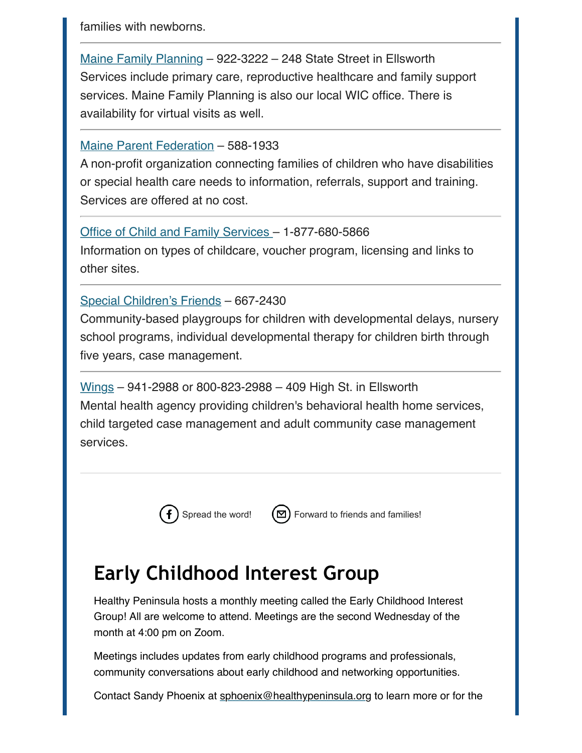families with newborns.

[Maine Family Planning](https://mainefamilyplanning.org/) – 922-3222 – 248 State Street in Ellsworth Services include primary care, reproductive healthcare and family support services. Maine Family Planning is also our local WIC office. There is availability for virtual visits as well.

## [Maine Parent Federation](https://www.mpf.org/) – 588-1933

A non-profit organization connecting families of children who have disabilities or special health care needs to information, referrals, support and training. Services are offered at no cost.

## [Office of Child and Family Services](https://www.maine.gov/dhhs/ocfs/) – 1-877-680-5866

Information on types of childcare, voucher program, licensing and links to other sites.

## [Special Children's Friends](https://specialchildrensfriends.org/) – 667-2430

Community-based playgroups for children with developmental delays, nursery school programs, individual developmental therapy for children birth through five years, case management.

[Wings](https://www.wingsinc.org/) – 941-2988 or 800-823-2988 – 409 High St. in Ellsworth Mental health agency providing children's behavioral health home services, child targeted case management and adult community case management services.



[Spread the word!](http://www.facebook.com/sharer/sharer.php?u=https%3A%2F%2Fmailchi.mp%2F9c2ccdce6633%2Flittle-sapling-news-late-summer-edition)  $(\boxtimes)$  [Forward to friends and families!](http://us12.forward-to-friend.com/forward?u=fc6079fc5c5e625f35525d930&id=9ec99f02d0&e=%5BUNIQID%5D)

# **Early Childhood Interest Group**

Healthy Peninsula hosts a monthly meeting called the Early Childhood Interest Group! All are welcome to attend. Meetings are the second Wednesday of the month at 4:00 pm on Zoom.

Meetings includes updates from early childhood programs and professionals, community conversations about early childhood and networking opportunities.

Contact Sandy Phoenix at [sphoenix@healthypeninsula.org](mailto:sphoenix@healthypeninsula.org?subject=Early%20Childhood%20Interest%20Group) to learn more or for the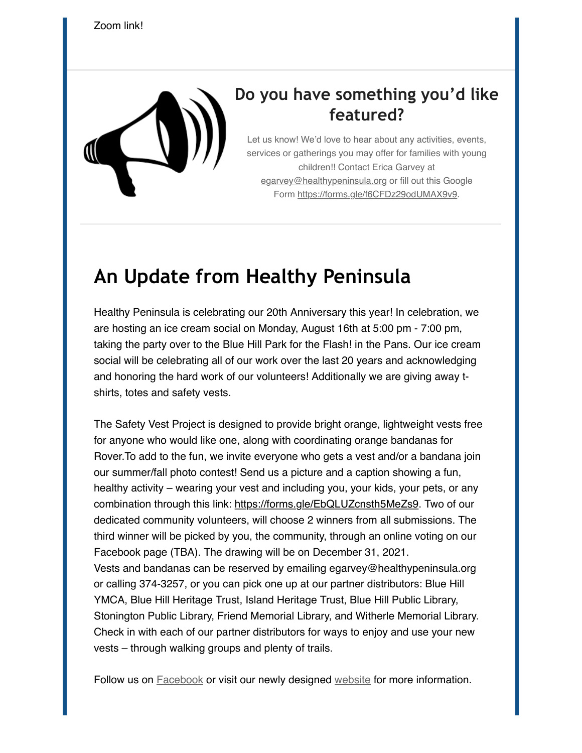

## **Do you have something you'd like featured?**

Let us know! We'd love to hear about any activities, events, services or gatherings you may offer for families with young children!! Contact Erica Garvey at [egarvey@healthypeninsula.org](mailto:egarvey@healthypeninsula.org?subject=Little%20Sapling%20News) or fill out this Google Form<https://forms.gle/f6CFDz29odUMAX9v9>.

## **An Update from Healthy Peninsula**

Healthy Peninsula is celebrating our 20th Anniversary this year! In celebration, we are hosting an ice cream social on Monday, August 16th at 5:00 pm - 7:00 pm, taking the party over to the Blue Hill Park for the Flash! in the Pans. Our ice cream social will be celebrating all of our work over the last 20 years and acknowledging and honoring the hard work of our volunteers! Additionally we are giving away tshirts, totes and safety vests.

The Safety Vest Project is designed to provide bright orange, lightweight vests free for anyone who would like one, along with coordinating orange bandanas for Rover.To add to the fun, we invite everyone who gets a vest and/or a bandana join our summer/fall photo contest! Send us a picture and a caption showing a fun, healthy activity – wearing your vest and including you, your kids, your pets, or any combination through this link: [https://forms.gle/EbQLUZcnsth5MeZs9.](https://forms.gle/EbQLUZcnsth5MeZs9) Two of our dedicated community volunteers, will choose 2 winners from all submissions. The third winner will be picked by you, the community, through an online voting on our Facebook page (TBA). The drawing will be on December 31, 2021. Vests and bandanas can be reserved by emailing egarvey@healthypeninsula.org or calling 374-3257, or you can pick one up at our partner distributors: Blue Hill YMCA, Blue Hill Heritage Trust, Island Heritage Trust, Blue Hill Public Library, Stonington Public Library, Friend Memorial Library, and Witherle Memorial Library. Check in with each of our partner distributors for ways to enjoy and use your new vests – through walking groups and plenty of trails.

Follow us on **Facebook** or visit our newly designed [website](https://www.healthypeninsula.org/) for more information.